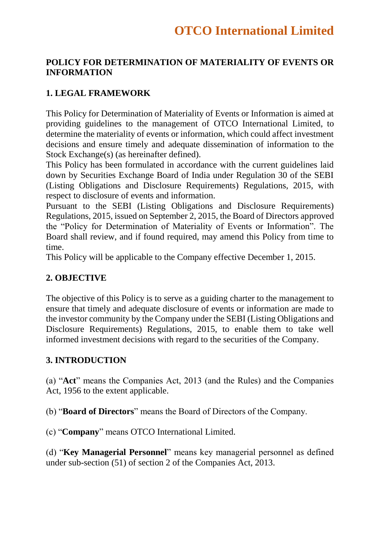## **POLICY FOR DETERMINATION OF MATERIALITY OF EVENTS OR INFORMATION**

## **1. LEGAL FRAMEWORK**

This Policy for Determination of Materiality of Events or Information is aimed at providing guidelines to the management of OTCO International Limited, to determine the materiality of events or information, which could affect investment decisions and ensure timely and adequate dissemination of information to the Stock Exchange(s) (as hereinafter defined).

This Policy has been formulated in accordance with the current guidelines laid down by Securities Exchange Board of India under Regulation 30 of the SEBI (Listing Obligations and Disclosure Requirements) Regulations, 2015, with respect to disclosure of events and information.

Pursuant to the SEBI (Listing Obligations and Disclosure Requirements) Regulations, 2015, issued on September 2, 2015, the Board of Directors approved the "Policy for Determination of Materiality of Events or Information". The Board shall review, and if found required, may amend this Policy from time to time.

This Policy will be applicable to the Company effective December 1, 2015.

### **2. OBJECTIVE**

The objective of this Policy is to serve as a guiding charter to the management to ensure that timely and adequate disclosure of events or information are made to the investor community by the Company under the SEBI (Listing Obligations and Disclosure Requirements) Regulations, 2015, to enable them to take well informed investment decisions with regard to the securities of the Company.

### **3. INTRODUCTION**

(a) "**Act**" means the Companies Act, 2013 (and the Rules) and the Companies Act, 1956 to the extent applicable.

(b) "**Board of Directors**" means the Board of Directors of the Company.

(c) "**Company**" means OTCO International Limited.

(d) "**Key Managerial Personnel**" means key managerial personnel as defined under sub-section (51) of section 2 of the Companies Act, 2013.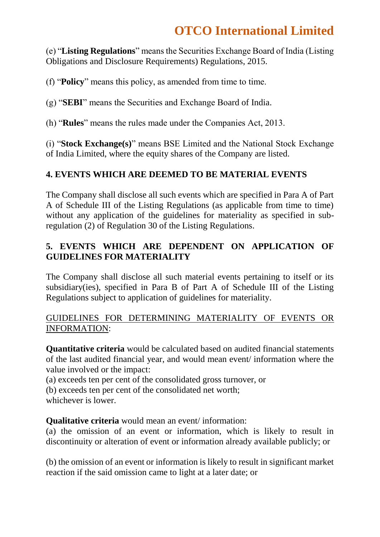# **OTCO International Limited**

(e) "**Listing Regulations**" means the Securities Exchange Board of India (Listing Obligations and Disclosure Requirements) Regulations, 2015.

(f) "**Policy**" means this policy, as amended from time to time.

(g) "**SEBI**" means the Securities and Exchange Board of India.

(h) "**Rules**" means the rules made under the Companies Act, 2013.

(i) "**Stock Exchange(s)**" means BSE Limited and the National Stock Exchange of India Limited, where the equity shares of the Company are listed.

## **4. EVENTS WHICH ARE DEEMED TO BE MATERIAL EVENTS**

The Company shall disclose all such events which are specified in Para A of Part A of Schedule III of the Listing Regulations (as applicable from time to time) without any application of the guidelines for materiality as specified in subregulation (2) of Regulation 30 of the Listing Regulations.

## **5. EVENTS WHICH ARE DEPENDENT ON APPLICATION OF GUIDELINES FOR MATERIALITY**

The Company shall disclose all such material events pertaining to itself or its subsidiary(ies), specified in Para B of Part A of Schedule III of the Listing Regulations subject to application of guidelines for materiality.

## GUIDELINES FOR DETERMINING MATERIALITY OF EVENTS OR INFORMATION:

**Quantitative criteria** would be calculated based on audited financial statements of the last audited financial year, and would mean event/ information where the value involved or the impact:

(a) exceeds ten per cent of the consolidated gross turnover, or

(b) exceeds ten per cent of the consolidated net worth;

whichever is lower.

**Qualitative criteria** would mean an event/ information:

(a) the omission of an event or information, which is likely to result in discontinuity or alteration of event or information already available publicly; or

(b) the omission of an event or information is likely to result in significant market reaction if the said omission came to light at a later date; or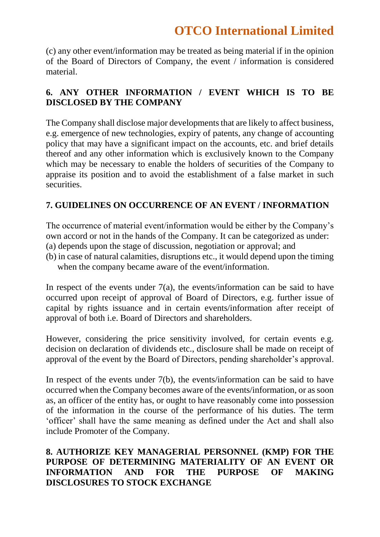# **OTCO International Limited**

(c) any other event/information may be treated as being material if in the opinion of the Board of Directors of Company, the event / information is considered material.

## **6. ANY OTHER INFORMATION / EVENT WHICH IS TO BE DISCLOSED BY THE COMPANY**

The Company shall disclose major developments that are likely to affect business, e.g. emergence of new technologies, expiry of patents, any change of accounting policy that may have a significant impact on the accounts, etc. and brief details thereof and any other information which is exclusively known to the Company which may be necessary to enable the holders of securities of the Company to appraise its position and to avoid the establishment of a false market in such securities.

## **7. GUIDELINES ON OCCURRENCE OF AN EVENT / INFORMATION**

The occurrence of material event/information would be either by the Company's own accord or not in the hands of the Company. It can be categorized as under:

- (a) depends upon the stage of discussion, negotiation or approval; and
- (b) in case of natural calamities, disruptions etc., it would depend upon the timing when the company became aware of the event/information.

In respect of the events under 7(a), the events/information can be said to have occurred upon receipt of approval of Board of Directors, e.g. further issue of capital by rights issuance and in certain events/information after receipt of approval of both i.e. Board of Directors and shareholders.

However, considering the price sensitivity involved, for certain events e.g. decision on declaration of dividends etc., disclosure shall be made on receipt of approval of the event by the Board of Directors, pending shareholder's approval.

In respect of the events under 7(b), the events/information can be said to have occurred when the Company becomes aware of the events/information, or as soon as, an officer of the entity has, or ought to have reasonably come into possession of the information in the course of the performance of his duties. The term 'officer' shall have the same meaning as defined under the Act and shall also include Promoter of the Company.

### **8. AUTHORIZE KEY MANAGERIAL PERSONNEL (KMP) FOR THE PURPOSE OF DETERMINING MATERIALITY OF AN EVENT OR INFORMATION AND FOR THE PURPOSE OF MAKING DISCLOSURES TO STOCK EXCHANGE**